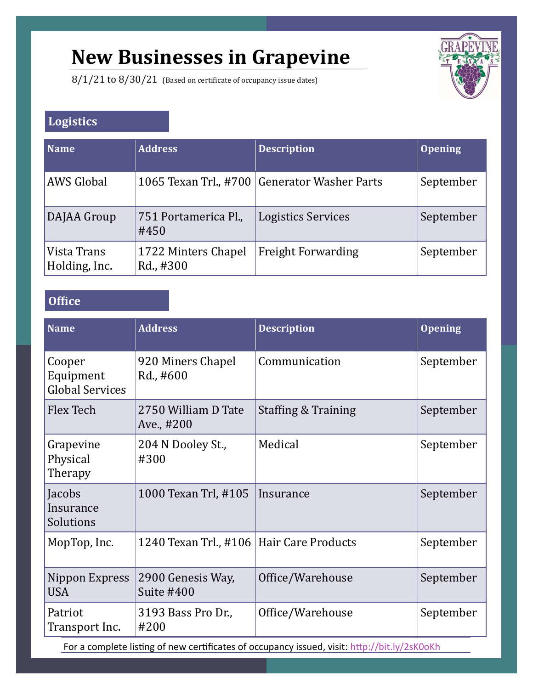# **New Businesses in Grapevine**

8/1/21 to 8/30/21 (Based on certificate of occupancy issue dates)



## **Logistics**

| Name                         | <b>Address</b>                   | <b>Description</b>                           | <b>Opening</b> |
|------------------------------|----------------------------------|----------------------------------------------|----------------|
| AWS Global                   |                                  | 1065 Texan Trl., #700 Generator Washer Parts | September      |
| DAJAA Group                  | 751 Portamerica Pl.,<br>#450     | <b>Logistics Services</b>                    | September      |
| Vista Trans<br>Holding, Inc. | 1722 Minters Chapel<br>Rd., #300 | <b>Freight Forwarding</b>                    | September      |

#### **Office**

| <b>Name</b>                                   | <b>Address</b>                           | <b>Description</b>  | <b>Opening</b> |
|-----------------------------------------------|------------------------------------------|---------------------|----------------|
| Cooper<br>Equipment<br><b>Global Services</b> | 920 Miners Chapel<br>Rd., #600           | Communication       | September      |
| Flex Tech                                     | 2750 William D Tate<br>Ave., #200        | Staffing & Training | September      |
| Grapevine<br>Physical<br>Therapy              | 204 N Dooley St.,<br>#300                | Medical             | September      |
| Jacobs<br>Insurance<br>Solutions              | 1000 Texan Trl, #105                     | Insurance           | September      |
| MopTop, Inc.                                  | 1240 Texan Trl., #106 Hair Care Products |                     | September      |
| Nippon Express<br><b>USA</b>                  | 2900 Genesis Way,<br>Suite #400          | Office/Warehouse    | September      |
| Patriot<br>Transport Inc.                     | 3193 Bass Pro Dr.,<br>#200               | Office/Warehouse    | September      |

For a complete listing of new certificates of occupancy issued, visit: http://bit.ly/2sK0oKh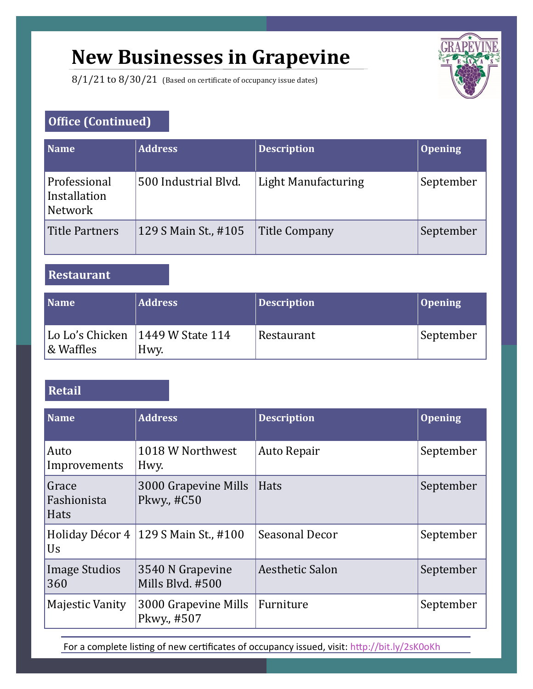# **New Businesses in Grapevine**

8/1/21 to 8/30/21 (Based on certificate of occupancy issue dates)



### **Office (Continued)**

| <b>Name</b>                                    | <b>Address</b>       | <b>Description</b>   | <b>Opening</b> |
|------------------------------------------------|----------------------|----------------------|----------------|
| Professional<br>Installation<br><b>Network</b> | 500 Industrial Blvd. | Light Manufacturing  | September      |
| <b>Title Partners</b>                          | 129 S Main St., #105 | <b>Title Company</b> | September      |

**Restaurant**

| <b>Name</b> | <b>Address</b>                             | Description | <b>Opening</b> |
|-------------|--------------------------------------------|-------------|----------------|
| & Waffles   | Lo Lo's Chicken   1449 W State 114<br>Hwy. | Restaurant  | September      |

## **Retail**

| <b>Name</b>                         | <b>Address</b>                         | <b>Description</b> | <b>Opening</b> |
|-------------------------------------|----------------------------------------|--------------------|----------------|
| Auto<br>Improvements                | 1018 W Northwest<br>Hwy.               | <b>Auto Repair</b> | September      |
| Grace<br>Fashionista<br><b>Hats</b> | 3000 Grapevine Mills<br>Pkwy., #C50    | Hats               | September      |
| Us                                  | Holiday Décor 4   129 S Main St., #100 | Seasonal Decor     | September      |
| Image Studios<br>360                | 3540 N Grapevine<br>Mills Blvd. #500   | Aesthetic Salon    | September      |
| Majestic Vanity                     | 3000 Grapevine Mills<br>Pkwy., #507    | Furniture          | September      |

For a complete listing of new certificates of occupancy issued, visit: http://bit.ly/2sK0oKh